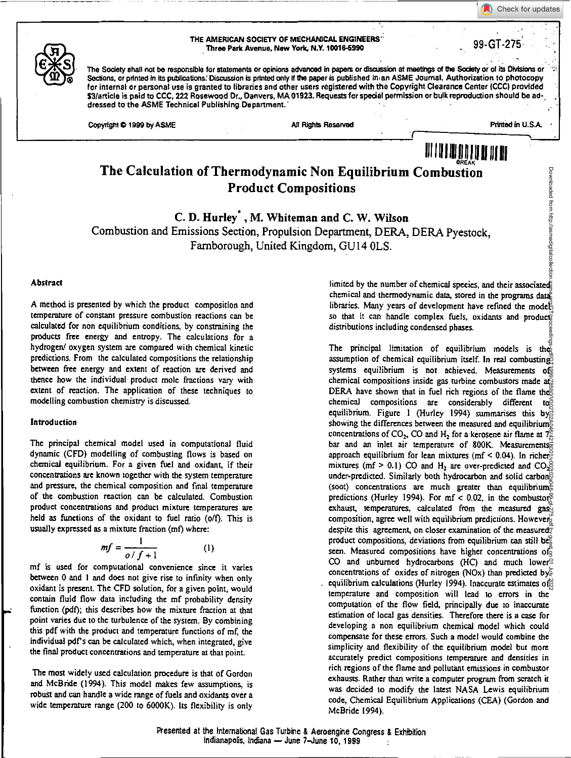THE AMERICAN SOCIETY OF MECHANICAL ENGINEERS' AMERICAN SOCIETY OF MECHANICAL ENGINEERS<br>Three Park Avenue, New York, N.Y. 10016-5990

The Society shall not be responsible for statements or opinions advanced in papers or discussion at meetings of the Society or of its Divisions or Sections, or printed in its publications. Discussion is printed only if the paper is published in an ASME Journal. Authorization to photocopy for internal or personal use is granted to libraries and other users registered with the Copyright Clearance Center (CCC) provided \$3/article is paid to CCC, 222 Rosewood Dr., Danvers, MA 01923. Requests for special permission or bulk reproduction should be addressed to the ASME Technical Publishing Department.

Copyright  $\spadesuit$  1999 by ASME All Rights Reserved All Rights Reserved Printed in U.S.A.

Downloaded from http://asmedigitalco

Check for updates

# **The Calculation of Thermodynamic Non Equilibrium Combustion Product Compositions**

**C. D. Hurley \*, M. Whiteman and C. W. Wilson**  Combustion and Emissions Section, Propulsion Department, DERA, DERA Pyestock, Farnborough, United Kingdom, GU14 OLS.

#### Abstract

A method is presented by which the product composition and temperature of constant pressure combustion reactions can be calculated for non equilibrium conditions, by constraining the products free energy and entropy. The calculations for a hydrogen/ oxygen system are compared with chemical kinetic predictions. From the calculated compositions the relationship between free energy and extent of reaction are derived and thence how the individual product mole fractions vary with extent of reaction. The application of these techniques to modelling combustion chemistry is discussed.

#### Introduction

The principal chemical model used in computational fluid dynamic (CFD) modelling of combusting flows is based on chemical equilibrium. For a given fuel and oxidant, if their concentrations are known together with the system temperature and pressure, the chemical composition and final temperature of the combustion reaction can be calculated. Combustion product concentrations and product mixture temperatures are held as functions of the oxidant to fuel ratio (o/f). This is usually expressed as a mixture fraction (mf) where:

$$
mf = \frac{1}{o/f + 1} \tag{1}
$$

mf is used for computational convenience since it varies between 0 and I and does not give rise to infinity when only oxidant is present. The CFD solution, for a given point, would contain fluid flow data including the mf probability density function (pdf); this describes how the mixture fraction at that point varies due to the turbulence of the system. By combining this pdf with the product and temperature functions of mf, the individual pdfs can be calculated which, when integrated, give the final product concentrations and temperature at that point.

The most widely used calculation procedure is that of Gordon and McBride (1994). This model makes few assumptions, is robust and can handle a wide range of fuels and oxidants over a wide temperature range (200 to 6000K). Its flexibility is only

limited by the number of chemical species, and their associated; chemical and thermodynamic data, stored in the programs data libraries. Many years of development have refined the mode<sup>8</sup> so that it can handle complex fuels, oxidants and products distributions including condensed phases.

III I lIl **til Jill** <sup>111</sup> **<sup>11</sup>**111111 BREAK

The principal limitation of equilibrium models is the assumption of chemical equilibrium itself. In real combusting systems equilibrium is not achieved. Measurements of chemical compositions inside gas turbine combustors made at DERA have shown that in fuel rich regions of the flame the chemical compositions are considerably different to equilibrium. Figure 1 (Hurley 1994) summarises this by showing the differences between the measured and equilibriums concentrations of CO<sub>2</sub>, CO and H<sub>2</sub> for a kerosene air flame at  $7\frac{8}{6}$ bar and an inlet air temperature of 800K. Measurements approach equilibrium for lean mixtures (mf < 0.04). In richer mixtures (mf  $> 0.1$ ) CO and H<sub>2</sub> are over-predicted and CO<sub>2</sub><sup>2</sup> under-predicted. Similarly both hydrocarbon and solid carbon<sup> $\bar{\odot}$ </sup> (soot) concentrations are much greater than equilibriums predictions (Hurley 1994). For  $mf < 0.02$ , in the combustor $\frac{6}{5}$ exhaust, temperatures, calculated from the measured gas $\bar{z}$ composition, agree well with equilibrium predictions. Howeverdespite this agreement, on closer examination of the measured product compositions, deviations from equilibrium can still be seen. Measured compositions have higher concentrations of CO and unburned hydrocarbons (HC) and much lowers concentrations of oxides of nitrogen (NOx) than predicted by equilibrium calculations (Hurley 1994). Inaccurate estimates of temperature and composition will lead to errors in the computation of the flow field, principally due to inaccurate estimation of local gas densities. Therefore there is a case for developing a non equilibrium chemical model which could compensate for these errors. Such a model would combine the simplicity and flexibility of the equilibrium model but more accurately predict compositions temperature and densities in rich regions of the flame and pollutant emissions in combustor exhausts. Rather than write a computer program from scratch it was decided to modify the latest NASA Lewis equilibrium code, Chemical Equilibrium Applications (CEA) (Gordon and McBride 1994). Downloaded from http://asmedigitalcollection.asme.org/GT/proceedings-pdf/GT1999/78590/V002T02A046/4218001/v002t02a046-99-gt-275.pdf by guest on 01 July 2022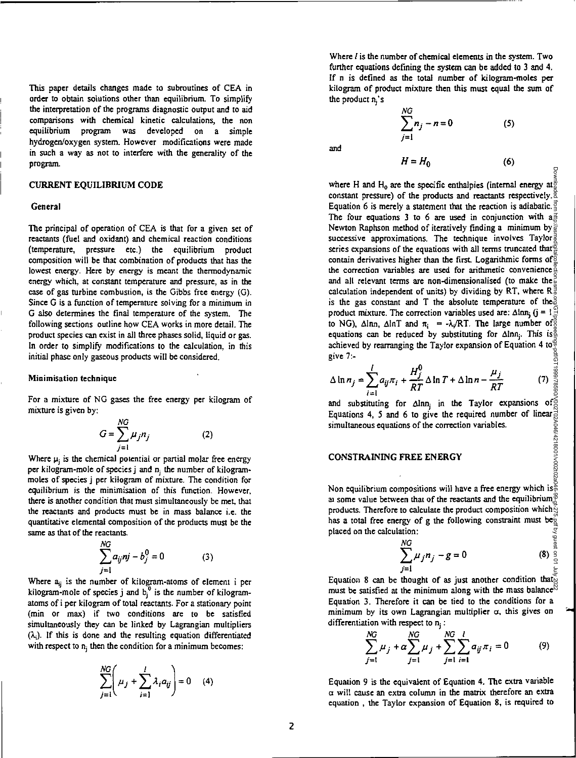This paper details changes made to subroutines of CEA in order to obtain solutions other than equilibrium. To simplify the interpretation of the programs diagnostic output and to aid comparisons with chemical kinetic calculations, the non equilibrium program was developed on a simple hydrogen/oxygen system. However modifications were made in such a way as not to interfere with the generality of the program.

#### CURRENT EQUILIBRIUM CODE

#### General

The principal of operation of CEA is that for a given set of reactants (fuel and oxidant) and chemical reaction conditions (temperature, pressure etc.) the equilibrium product composition will be that combination of products that has the lowest energy. Here by energy is meant the thermodynamic energy which, at constant temperature and pressure, as in the case of gas turbine combustion, is the Gibbs free energy (G). Since G is a function of temperature solving for a minimum in G also determines the final temperature of the system. The following sections outline how CEA works in more detail. The product species can exist in all three phases solid, liquid or gas. In order to simplify modifications to the calculation, in this initial phase only gaseous products will be considered.

#### Minimisation technique

For a mixture of NO gases the free energy per kilogram of mixture is given by:

$$
G = \sum_{j=1}^{NG} \mu_j n_j \tag{2}
$$

Where  $\mu_i$  is the chemical potential or partial molar free energy per kilogram-mole of species  $j$  and  $n_i$  the number of kilogrammoles of species j per kilogram of mixture. The condition for equilibrium is the minimisation of this function. However, there is another condition that must simultaneously be met, that the reactants and products must be in mass balance i.e. the quantitative elemental composition of the products must be the same as that of the reactants.

$$
\sum_{j=1}^{NG} a_{ij} nj - b_j^0 = 0
$$
 (3)

Where a<sub>ij</sub> is the number of kilogram-atoms of element i per kilogram-mole of species j and b<sub>i</sub>' is the number of kilogramatoms of i per kilogram of total reactants. For a stationary point (min or max) if two conditions are to be satisfied simultaneously they can be linked by Lagrangian multipliers  $(\lambda_i)$ . If this is done and the resulting equation differentiated with respect to  $n_i$  then the condition for a minimum becomes:

$$
\sum_{j=1}^{NG} \left(\mu_j + \sum_{i=1}^{I} \lambda_i a_{ij}\right) = 0 \quad (4)
$$

Where *I* is the number of chemical elements in the system. Two further equations defining the system can be added to 3 and 4. If n is defined as the total number of kilogram-moles per kilogram of product mixture then this must equal the sum of the product  $n_i$ 's

*NC* 

and

$$
\sum_{j=1}^{n} n_j - n = 0 \tag{5}
$$
  

$$
H = H_0 \tag{6}
$$

Dow Downloaded from http://asmedigitalcollection.asme.org/GT/proceedings-pdf/GT1999/78590/V002T02A046/4218001/v002t02a046-99-gt-275.pdf by guest on 01 July 2022where H and H<sub>0</sub> are the specific enthalpies (internal energy at  $\frac{3}{8}$ ) constant pressure) of the products and reactants respectively.  $\frac{8}{6}$ Equation 6 is merely a statement that the reaction is adiabatic.  $\frac{3}{5}$ The four equations 3 to 6 are used in conjunction with  $a \neq 0$ Newton Raphson method of iteratively finding a minimum by successive approximations. The technique involves Taylor series expansions of the equations with all terms truncated that contain derivatives higher than the first. Logarithmic forms of  $\frac{3}{8}$ the correction variables are used for arithmetic convenience and all relevant terms are non-dimensionalised (to make the  $\frac{3}{40}$ calculation independent of units) by dividing by RT, where  $R_{\theta}^{\frac{3}{2}}$ is the gas constant and T the absolute temperature of the product mixture. The correction variables used are:  $\Delta \text{lnn}_i$  (j =  $1\frac{\Omega}{\epsilon^2}$ to NG), Alnn, AlnT and  $\pi_i = -\lambda_i / RT$ . The large number of  $\frac{3}{8}$ equations can be reduced by substituting for Alnn<sub>j</sub>. This is achieved by rearranging *the* Taylor expansion of Equation 4 to give *7:-* 

$$
\Delta \ln n_j = \sum_{i=1}^l a_{ij} \pi_i + \frac{H_j^0}{RT} \Delta \ln T + \Delta \ln n - \frac{\mu_j}{RT}
$$
 (7)

and substituting for Alnn<sub>j</sub> in the Taylor expansions of Equations 4, 5 and 6 to give the required number of linear simultaneous equations of the correction variables.

#### CONSTRAINING FREE ENERGY

Non equilibrium compositions will have a free energy which is  $\frac{8}{9}$ at some value between that of the reactants and the equilibrium  $\frac{\infty}{2}$ products. Therefore to calculate the product composition which  $\frac{1}{2}$ has a total free energy of g the following constraint must be $\frac{3}{4}$ placed on the calculation:

$$
\sum_{j=1}^{NG} \mu_j n_j - g = 0 \tag{8}
$$

Equation 8 can be thought of as just another condition that must be satisfied at the minimum along with the mass balance<sup> $\%$ </sup> Equation 3. Therefore it can be tied to the conditions for a minimum by its own Lagrangian multiplier  $\alpha$ , this gives on differentiation with respect to  $n_i$ :

$$
\sum_{j=1}^{NG} \mu_j + \alpha \sum_{j=1}^{NG} \mu_j + \sum_{j=1}^{NG} \sum_{i=1}^{l} a_{ij} \pi_i = 0
$$
 (9)

Equation 9 is the equivalent of Equation 4. The extra variable  $\alpha$  will cause an extra column in the matrix therefore an extra equation , the Taylor expansion of Equation 8, is required to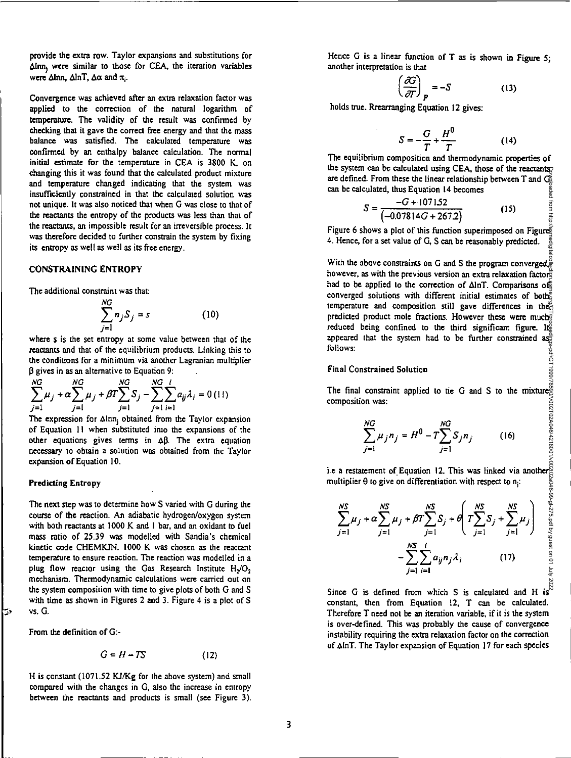provide the extra row. Taylor expansions and substitutions for  $\Delta$ Inn<sub>i</sub> were similar to those for CEA, the iteration variables were Alnn, AlnT,  $\Delta \alpha$  and  $\pi_i$ .

Convergence was achieved after an extra relaxation factor was applied to the correction of the natural logarithm of temperature. The validity of the result was confirmed by checking that it gave the correct free energy and that the mass balance was satisfied. The calculated temperature was confirmed by an enthalpy balance calculation. The normal initial estimate for the temperature in CEA is 3800 K, on changing this it was found that the calculated product mixture and temperature changed indicating that the system was insufficiently constrained in that the calculated solution was not unique. It was also noticed that when G was close to that of the reactants the entropy of the products was less than that of the reactants, an impossible result for an irreversible process. It was therefore decided to further constrain the system by fixing its entropy as well as well as its free energy.

#### CONSTRAINING ENTROPY

The additional constraint was that:

NG

$$
\sum_{j=1}^{NG} n_j S_j = s \tag{10}
$$

where s is the set entropy at some value between that of the reactants and that of the equilibrium products. Linking this to the conditions for a minimum via another Lagranian multiplier  $\beta$  gives in as an alternative to Equation 9:

$$
\sum_{j=1}^{NG} \mu_j + \alpha \sum_{j=1}^{NG} \mu_j + \beta T \sum_{j=1}^{NG} S_j - \sum_{j=1}^{NG} \sum_{i=1}^{l} a_{ij} \lambda_i = 0 \, (11)
$$

The expression for  $\Delta$ lnn, obtained from the Taylor expansion of Equation II when substituted into the expansions of the other equations gives terms in  $\Delta\beta$ . The extra equation necessary to obtain a solution was obtained from the Taylor expansion of Equation 10.

#### **Predicting Entropy**

The next step was to determine how S varied with G during the course of the reaction. An adiabatic hydrogen/oxygen system with both reactants at 1000 K and I bar, and an oxidant to fuel mass ratio of 25.39 was modelled with Sandia's chemical kinetic code CHEMKIN. 1000 K was chosen as the reactant temperature to ensure reaction. The reaction was modelled in a plug flow reactor using the Gas Research Institute  $H_2/O_2$ mechanism. Thermodynamic calculations were carried out on the system composition with time to give plots of both G and S with time as shown in Figures 2 and 3. Figure 4 is a plot of S vs. G.

From the definition of G:-

ریا

$$
G = H - TS \tag{12}
$$

H is constant (1071.52 KJ/Kg for the above system) and small compared with the changes in G, also the increase in entropy between the reactants and products is small (see Figure 3). Hence G is a linear function of T as is shown in Figure 5; another interpretation is that

$$
\left(\frac{\partial G}{\partial T}\right)_P = -S \tag{13}
$$

holds true. Rrearranging Equation 12 gives:

$$
S = -\frac{G}{T} + \frac{H^0}{T}
$$
 (14)

The equilibrium composition and thermodynamic properties of the system can be calculated using CEA, those of the reactants are defined. From these the linear relationship between T and G can be calculated, thus Equation 14 becomes ded from http:

$$
S = \frac{-G + 107152}{(-0.07814G + 2672)}
$$
 (15)

Figure 6 shows a plot of this function superimposed on Figures 4. Hence, for a set value of G, S can be reasonably predicted.

With the above constraints on G and S the program converged, $\frac{3}{6}$ however, as with the previous version an extra relaxation factor had to be applied to the correction of  $\Delta \ln T$ . Comparisons of converged solutions with different initial estimates of both temperature and composition still gave differences in the predicted product mole fractions. However these were much reduced being confined to the third significant figure. Its appeared that the system had to be further constrained  $\mathbf{a}$ appeared that the system had to be further constrained as follows: Downloaded from http://asmedigitalcollection.asme.org/GT/proceedings-pdf/GT1999/78590/V002T02A046/4218001/v002t02a046-99-gt-275.pdf by guest on 01 July 2022

#### Final Constrained Solution

The final constraint applied to tie G and S to the mixture composition was:

$$
\sum_{j=1}^{NG} \mu_j n_j = H^0 - T \sum_{j=1}^{NG} S_j n_j \tag{16}
$$

i.e a restatement of Equation 12. This was linked via another multiplier 0 to give on differentiation with respect to

$$
\sum_{j=1}^{NS} \mu_j + \alpha \sum_{j=1}^{NS} \mu_j + \beta T \sum_{j=1}^{NS} S_j + \theta \left( T \sum_{j=1}^{NS} S_j + \sum_{j=1}^{NS} \mu_j \right) - \sum_{j=1}^{NS} \sum_{i=1}^{l} a_{ij} n_j \lambda_i \qquad (17)
$$

Since G is defined from which S is calculated and H is constant, then from Equation 12, T can be calculated. Therefore T need not be an iteration variable, if it is the system is over-defined. This was probably the cause of convergence instability requiring the extra relaxation factor on the correction of AInT. The Taylor expansion of Equation 17 for each species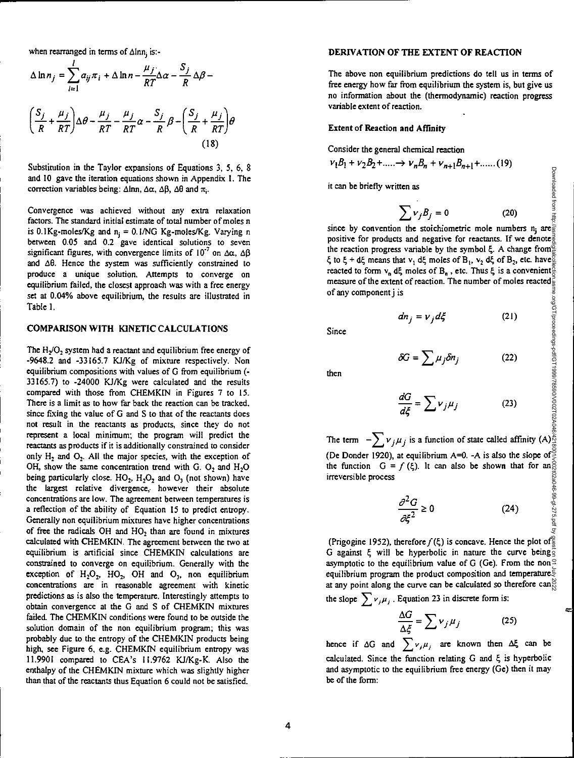when rearranged in terms of  $\Delta$ lnn<sub>i</sub> is:-

$$
\Delta \ln n_j = \sum_{i=1}^{l} a_{ij} \pi_i + \Delta \ln n - \frac{\mu_j}{RT} \Delta \alpha - \frac{S_j}{R} \Delta \beta -
$$

$$
\left(\frac{S_j}{R} + \frac{\mu_j}{RT}\right) \Delta \theta - \frac{\mu_j}{RT} - \frac{\mu_j}{RT} \alpha - \frac{S_j}{R} \beta - \left(\frac{S_j}{R} + \frac{\mu_j}{RT}\right) \theta
$$
(18)

Substitution in the Taylor expansions of Equations 3, 5, 6, 8 and 10 gave the iteration equations shown in Appendix 1. The correction variables being:  $\Delta \ln n$ ,  $\Delta \alpha$ ,  $\Delta \beta$ ,  $\Delta \theta$  and  $\pi$ .

Convergence was achieved without any extra relaxation factors. The standard initial estimate of total number of moles n is 0.1Kg-moles/Kg and  $n_i = 0.1/NG$  Kg-moles/Kg. Varying n between 0.05 and 0.2 gave identical solutions to seven significant figures, with convergence limits of  $10^{-7}$  on  $\Delta\alpha$ ,  $\Delta\beta$ and  $\Delta\theta$ . Hence the system was sufficiently constrained to produce a unique solution. Attempts to converge on equilibrium failed, the closest approach was with a free energy set at 0.04% above equilibrium, the results are illustrated in Table I.

#### COMPARISON WITH KINETIC CALCULATIONS

The  $H_2/O_2$  system had a reactant and equilibrium free energy of -9648.2 and -33165.7 KJ/Kg of mixture respectively. Non equilibrium compositions with values of G from equilibrium (- 33165.7) to -24000 KJ/Kg were calculated and the results compared with those from CHEMKIN in Figures 7 to 15. There is a limit as to how far back the reaction can be tracked. since fixing the value of G and S to that of the reactants does not result in the reactants as products, since they do not represent a local minimum; the program will predict the reactants as products if it is additionally constrained to consider only  $H_2$  and  $O_2$ . All the major species, with the exception of OH, show the same concentration trend with G.  $O_2$  and  $H_2O$ being particularly close.  $HO_2$ ,  $H_2O_2$  and  $O_3$  (not shown) have the largest relative divergence, however their absolute concentrations are low. The agreement between temperatures is a reflection of the ability of Equation 15 to predict entropy. Generally non equilibrium mixtures have higher concentrations of free the radicals OH and HO<sub>2</sub> than are found in mixtures calculated with CHEMKIN. The agreement between the two at equilibrium is artificial since CHEMKIN calculations are constrained to converge on equilibrium. Generally with the exception of  $H_2O_2$ ,  $HO_2$ , OH and  $O_3$ , non equilibrium concentrations are in reasonable agreement with kinetic predictions as is also the temperature. Interestingly attempts to obtain convergence at the G and S of CHEMKIN mixtures failed. The CHEMKIN conditions were found to be outside the solution domain of the non equilibrium program; this was probably due to the entropy of the CHEMKIN products being high, see Figure 6, e.g. CHEMKIN equilibrium entropy was 11.9901 compared to CEA's 11.9762 KJ/Kg-K. Also the enthalpy of the CHEMKIN mixture which was slightly higher than that of the reactants thus Equation 6 could not be satisfied.

#### DERIVATION OF THE EXTENT OF REACTION

The above non equilibrium predictions do tell us in terms of free energy how far from equilibrium the system is, but give us no information about the (thermodynamic) reaction progress variable extent of reaction.

### Extent of Reaction and Affinity

Consider the general chemical reaction

$$
v_1B_1 + v_2B_2 + \dots \to v_nB_n + v_{n+1}B_{n+1} + \dots \tag{19}
$$

it can be briefly written as

then as  
\n
$$
\sum v_j B_j = 0
$$
\n(20)

Downloaded from http:

since by convention the stoichiometric mole numbers  $n_i$  are positive for products and negative for reactants. If we denote the reaction progress variable by the symbol  $\xi$ . A change from  $\xi$  to  $\xi$  + d $\xi$  means that  $v_1$  d $\xi$  moles of  $B_1$ ,  $v_2$  d $\xi$  of  $B_2$ , etc. have  $\frac{3}{2}$ reacted to form  $v_0$  def moles of  $B_n$ , etc. Thus  $\xi$  is a convenient. measure of the extent of reaction. The number of moles reacted of any component j is

$$
dn_j = v_j d\xi \tag{21}
$$

Since

then

$$
\mathcal{G} = \sum \mu_j \delta n_j \tag{22}
$$

$$
\frac{dG}{d\xi} = \sum v_j \mu_j \tag{23}
$$

The term  $-\sum_{i} v_{i} \mu_{i}$  is a function of state called affinity (A) (De Donder 1920), at equilibrium  $A=0$ . -A is also the slope of the function  $G = f(\xi)$ . It can also be shown that for an irreversible process

$$
\frac{\partial^2 G}{\partial \xi^2} \ge 0 \tag{24}
$$

(Prigogine 1952), therefore *f (4)* is concave. Hence the plot of G against  $\xi$  will be hyperbolic in nature the curve being asymptotic to the equilibrium value of G (Ge). From the non $\Omega$ equilibrium program the product composition and temperature $\in$ at any point along the curve can be calculated so therefore can<sup> $\approx$ </sup> Downloaded from http://asmedigitalcollection.asme.org/GT/proceedings-pdf/GT1999/78590/V002T02A046/4218001/v002t02a046-99-gt-275.pdf by guest on 01 July 2022

the slope  $\sum v_j \mu_j$ . Equation 23 in discrete form is:

$$
\frac{\Delta G}{\Delta \xi} = \sum \nu_j \mu_j \tag{25}
$$

hence if  $\Delta G$  and  $\sum v_j \mu_j$  are known then  $\Delta \xi$  can be calculated. Since the function relating G and  $\xi$  is hyperbolic and asymptotic to the equilibrium free energy (Ge) then it may be of the form: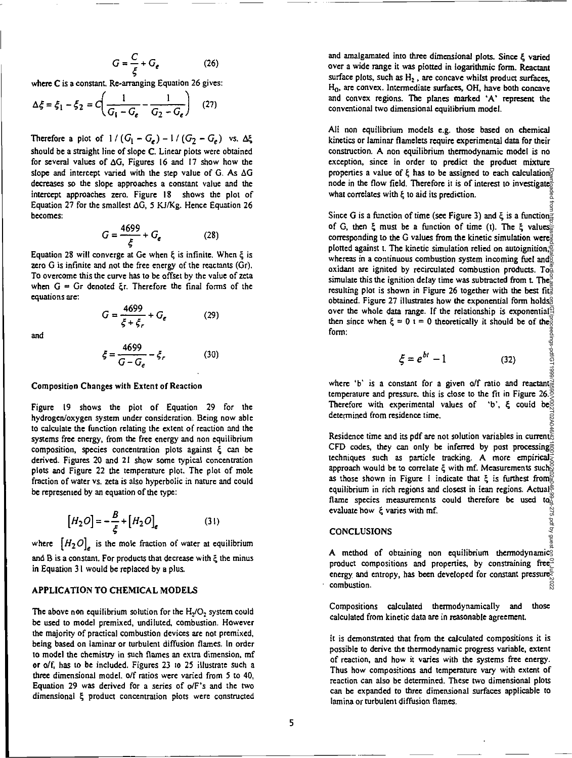$$
G = \frac{C}{\xi} + G_e \tag{26}
$$

where C is a constant. Re-arranging Equation 26 gives:

$$
\Delta \xi = \xi_1 - \xi_2 = C \left( \frac{1}{G_1 - G_e} - \frac{1}{G_2 - G_e} \right) \quad (27)
$$

Therefore a plot of  $1/(G_1 - G_e) - 1/(G_2 - G_e)$  vs.  $\Delta \xi$ should be a straight line of slope C. Linear plots were obtained for several values of  $\Delta G$ . Figures 16 and 17 show how the slope and intercept varied with the step value of G. As  $\Delta G$ decreases so the slope approaches a constant value and the intercept approaches zero. Figure 18 shows the plot of Equation 27 for the smallest  $\Delta G$ , 5 KJ/Kg. Hence Equation 26 becomes:

$$
G = \frac{4699}{\xi} + G_e \tag{28}
$$

Equation 28 will converge at Ge when  $\xi$  is infinite. When  $\xi$  is zero G is infinite and not the free energy of the reactants (Cr). To overcome this the curve has to be offset by the value of zeta when  $G = Gr$  denoted  $\xi r$ . Therefore the final forms of the equations are:

$$
G = \frac{4699}{\xi + \xi_r} + G_e \tag{29}
$$

and

$$
\xi = \frac{4699}{G - G_e} - \xi_r \tag{30}
$$

Composition Changes with Extent of Reaction

Figure 19 shows the plot of Equation 29 for the hydrogen/oxygen system under consideration. Being now able to calculate the function relating the extent of reaction and the systems free energy, from the free energy and non equilibrium composition, species concentration plots against  $\xi$  can be derived. Figures 20 and 21 show some typical concentration plots and Figure 22 the temperature plot. The plot of mole fraction of water vs. zeta is also hyperbolic in nature and could be represented by an equation of the type:

$$
[H_2 O] = -\frac{B}{\xi} + [H_2 O]_e \tag{31}
$$

where  $[H_2O]_{\rho}$  is the mole fraction of water at equilibrium and  $B$  is a constant. For products that decrease with  $\xi$  the minus in Equation 31 would be replaced by a plus.

#### APPLICATION TO CHEMICAL MODELS

The above non equilibrium solution for the  $H_2/O_2$  system could be used to model premixed, undiluted, combustion. However the majority of practical combustion devices are not premixed, being based on laminar or turbulent diffusion flames. In order to model the chemistry in such flames an extra dimension, mf or o/f, has to be included. Figures 23 to 25 illustrate such a three dimensional model. o/f ratios were varied from 5 to 40, Equation 29 was derived for a series of o/F's and the two dimensional 4 product concentration plots were constructed and amalgamated into three dimensional plots. Since  $\xi$  varied over a wide range it was plotted in logarithmic form. Reactant surface plots, such as  $H_2$ , are concave whilst product surfaces, Ho, are convex. Intermediate surfaces, OH, have both concave and convex regions. The planes marked 'A' represent the conventional two dimensional equilibrium model.

All non equilibrium models e.g. those based on chemical kinetics or laminar flamelets require experimental data for their construction. A non equilibrium thermodynamic model is no exception, since in order to predict the product mixture properties a value of  $\xi$  has to be assigned to each calculation node in the flow field. Therefore it is of interest to investigate<sup> $\frac{3}{6}$ </sup> what correlates with  $\xi$  to aid its prediction.

Since G is a function of time (see Figure 3) and  $\xi$  is a function $\frac{3}{4}$ of G, then  $\xi$  must be a function of time (t). The  $\xi$  values corresponding to the G values from the kinetic simulation were $\ddot{\tilde{\vec{z}}}$ plotted against t. The kinetic simulation relied on autoignition,  $\frac{3}{2}$ whereas in a continuous combustion system incoming fuel and  $\frac{3}{2}$ oxidant are ignited by recirculated combustion products. To  $\frac{8}{3}$ simulate this the ignition delay time was subtracted from t. The. resulting plot is shown in Figure 26 together with the best fit. obtained. Figure 27 illustrates how the exponential form holds<sup>2</sup> over the whole data range. If the relationship is exponential  $\mathbb{R}$ then since when  $\xi = 0$  t = 0 theoretically it should be of the form:

(30)  
\n
$$
\xi = e^{bt} - 1
$$
\n(32)  
\n
$$
\xi = e^{bt} - 1
$$
\n(33)  
\n
$$
\xi = e^{bt} - 1
$$
\n(34)  
\n
$$
\xi = e^{bt} - 1
$$
\n(35)

temperature and pressure, this is close to the fit in Figure 26. $\frac{8}{3}$ Therefore with experimental values of 'b',  $\xi$  could be determined from residence time.

Residence time and its pdf are not solution variables in current. CFD codes, they can only be inferred by post processing techniques such as particle tracking. A more empirical approach would be to correlate  $\xi$  with mf. Measurements such as those shown in Figure I indicate that  $\xi$  is furthest from  $\frac{1}{2}$ equilibrium in rich regions and closest in lean regions. Actual flame species measurements could therefore be used to  $\tilde{a}$ evaluate how  $\xi$  varies with mf. evaluate how  $\xi$  varies with mf.<br>
CONCLUSIONS<br>  $\xi$ <br>
A method of obtaining non equilibrium thermodynamics<br>  $\xi$ Downloaded from http://asmedigitalcollection.asme.org/GT/proceedings-pdf/GT1999/78590/V002T02A046/4218001/v002t02a046-99-gt-275.pdf by guest on 01 July 2022

### **CONCLUSIONS**

product compositions and properties, by constraining free energy and entropy, has been developed for constant pressure combustion. combustion.

Compositions calculated thermodynamically and those calculated from kinetic data are in reasonable agreement.

It is demonstrated that from the calculated compositions it is possible to derive the thermodynamic progress variable, extent of reaction, and how it varies with the systems free energy, Thus how compositions and temperature vary with extent of reaction can also be determined. These two dimensional plots can be expanded to three dimensional surfaces applicable to lamina or turbulent diffusion flames.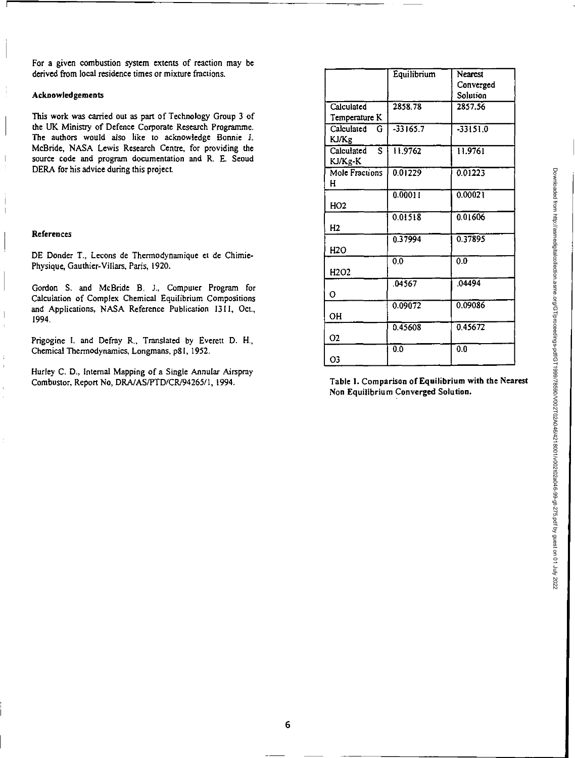Downloaded from http://asmedigitalcollection.asme.org/GT/proceedings-pdf/GT1999/78590/V002T02A046/4218001/v002t02a046-99-gt-275.pdf by guest on 01 July 2022

For a given combustion system extents of reaction may be derived from local residence times or mixture fractions.

### Acknowledgements

This work was carried out as part of Technology Group 3 of the UK Ministry of Defence Corporate Research Programme. The authors would also like to acknowledge Bonnie J. McBride, NASA Lewis Research Centre, for providing the source code and program documentation and R. E. Seoud DERA for his advice during this project.

#### References

 $\overline{\phantom{a}}$ 

 $\overline{\phantom{a}}$ 

 $\begin{array}{c} \hline \end{array}$  $\ddot{\phantom{a}}$ 

 $\boldsymbol{\cdot}$ 

Ï

DE Donder T., Lecons de Therrnodynamique et de Chimie-Physique, Gauthier-Villars, Paris, 1920.

Gordon S. and McBride B. J., Computer Program for Calculation of Complex Chemical Equilibrium Compositions and Applications, NASA Reference Publication 1311, Oct., 1994,

Prigogine I. and Defray R., Translated by Everett D. H., Chemical Thermodynamics, Longmans, p81, 1952.

Hurley C. D.. Internal Mapping of a Single Annular Airspray Combustor, Report No, DRA/AS/PTD/CR194265/1, 1994. **Table 1. Comparison of Equilibrium with the Nearest** 

|                                       | Equilibrium | Nearest          |
|---------------------------------------|-------------|------------------|
|                                       |             |                  |
|                                       |             | Converged        |
|                                       |             | Solution         |
| Calculated                            | 2858.78     | 2857.56          |
| Temperature K                         |             |                  |
| Calculated<br>G                       | $-33165.7$  | $-33151.0$       |
| KJ/Kg                                 |             |                  |
| $\overline{\mathbf{s}}$<br>Calculated | 11.9762     | 11.9761          |
| KJ/Kg-K                               |             |                  |
| Mole Fractions                        | 0.01229     | 0.01223          |
| н                                     |             |                  |
|                                       | 0.00011     | 0.00021          |
| HO2                                   |             |                  |
|                                       | 0.01518     | 0.01606          |
| H <sub>2</sub>                        |             |                  |
|                                       | 0.37994     | 0.37895          |
|                                       |             |                  |
| H <sub>2</sub> O                      |             |                  |
|                                       | õ٥          | $\overline{0.0}$ |
| H <sub>2</sub> O <sub>2</sub>         |             |                  |
|                                       | .04567      | .04494           |
| O                                     |             |                  |
|                                       | 0.09072     | 0.09086          |
| <b>OH</b>                             |             |                  |
|                                       | 0.45608     | 0.45672          |
| 02                                    |             |                  |
|                                       | 0.0         | 0.0              |
| Ο3                                    |             |                  |
|                                       |             |                  |

**Non Equilibrium Converged Solution.**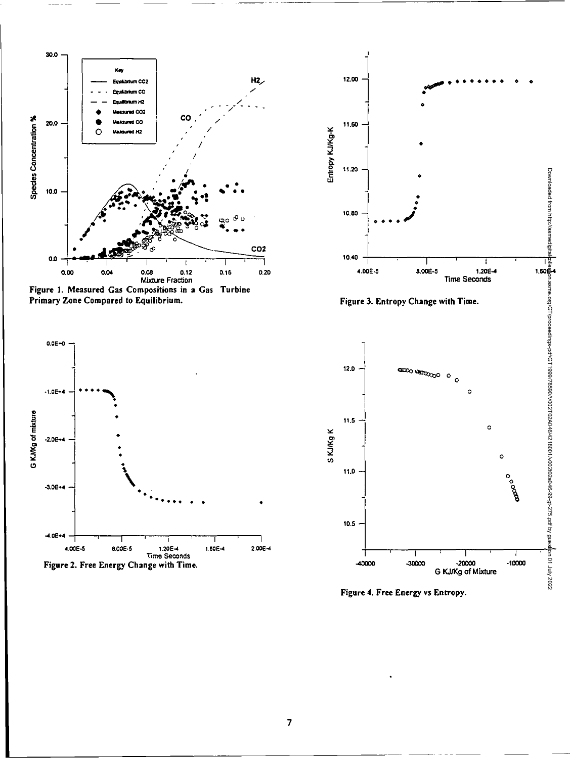

Figure 1. Measured Gas Compositions in a Gas Turbine Primary Zone Compared to Equilibrium.





Figure 3. Entropy Change with Time.



Figure 4. Free Energy vs Entropy.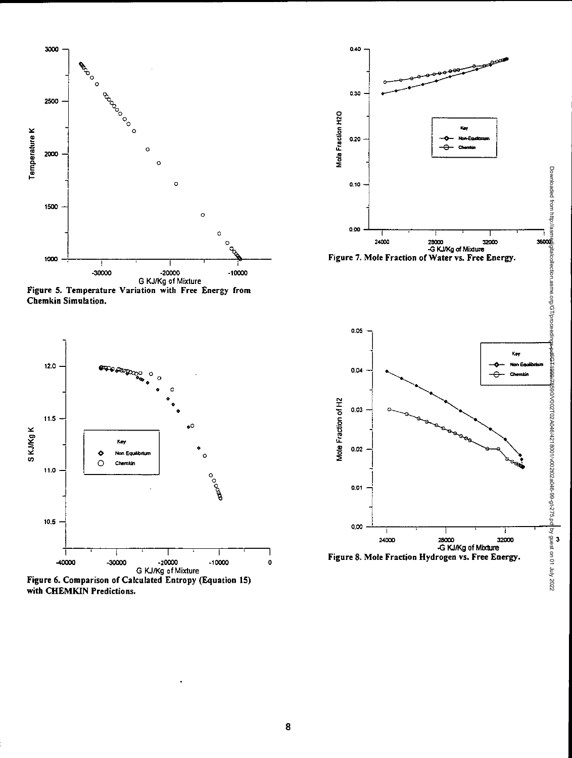

Figure 5. Temperature Variation with Free Energy from Chemkin Simulation.



with CHEMKIN Predictions.



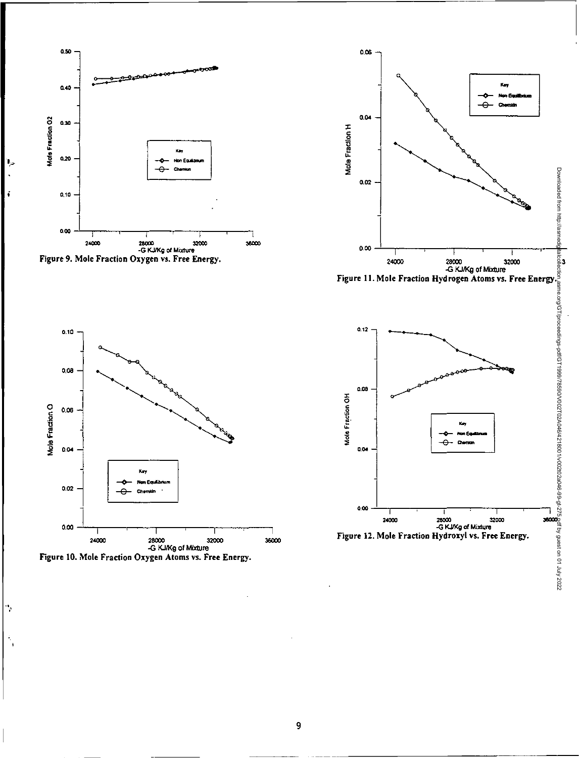

د ا

š,

 $\gamma$ 

÷.







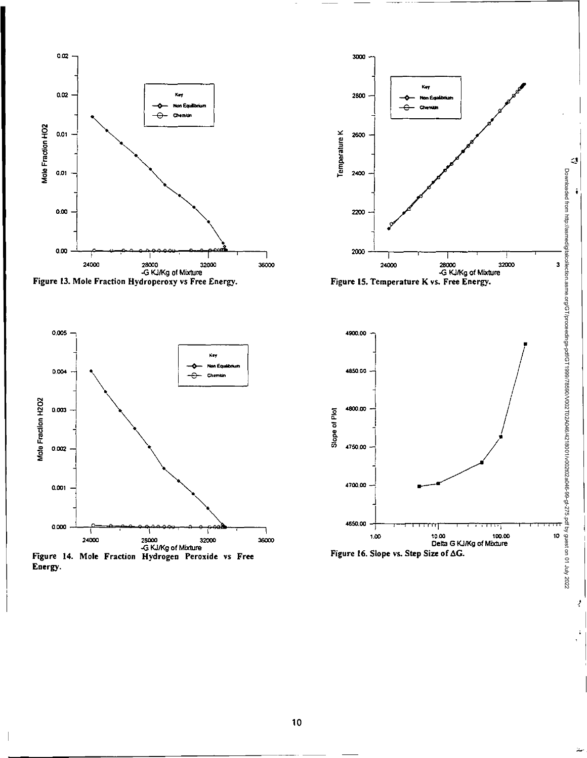

3

 $\mathbb{C}^1$ 

î

Downloaded from http://asmedigitalcollection.asme.org/GT/proceedings-pdf/GT1999/78590/V002T02A046/4218001/v002t02a046-99-gt-275.pdf by guest on 01 July 2022

Downbaded from http://asmediglialcoller.ion.asme.org/GT/proceedings-pdfGT198917602102404942180041290459999995275.pdf by guest on 01 July 2022

10

Ź



10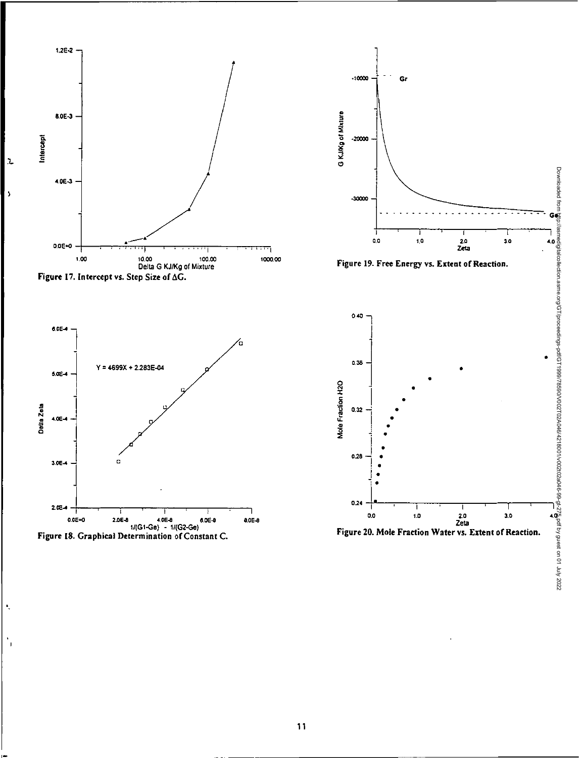

 $\bar{\mathbf{y}}$ 

٠.



 $-10000$ 

 $-20000$ 

 $0.32$ 

 $0.28$ 

 $0.24$ 

ī

Gr



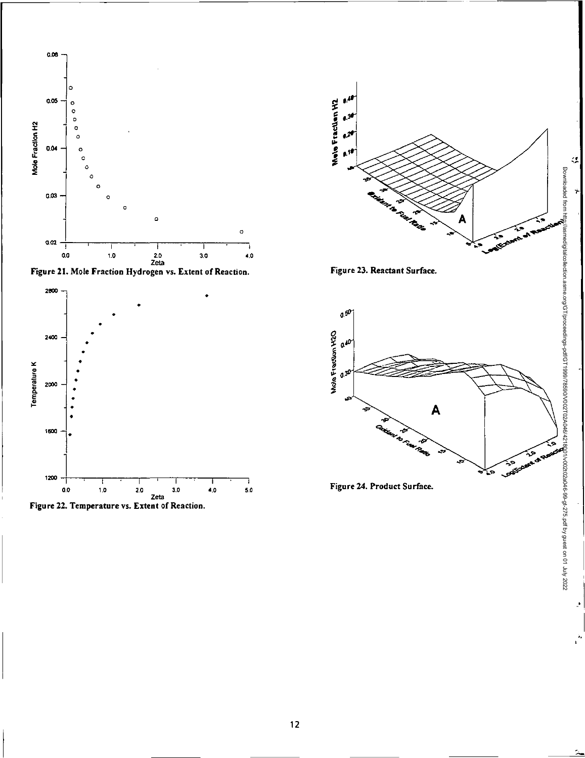







Figure 23. Reactant Surface.



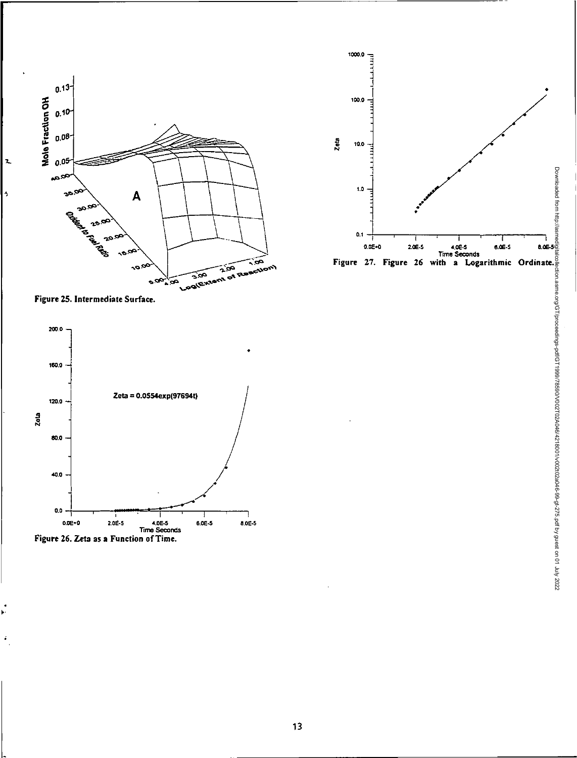



 $\mathbf{z}$ 

 $\overline{\phantom{a}}$ 





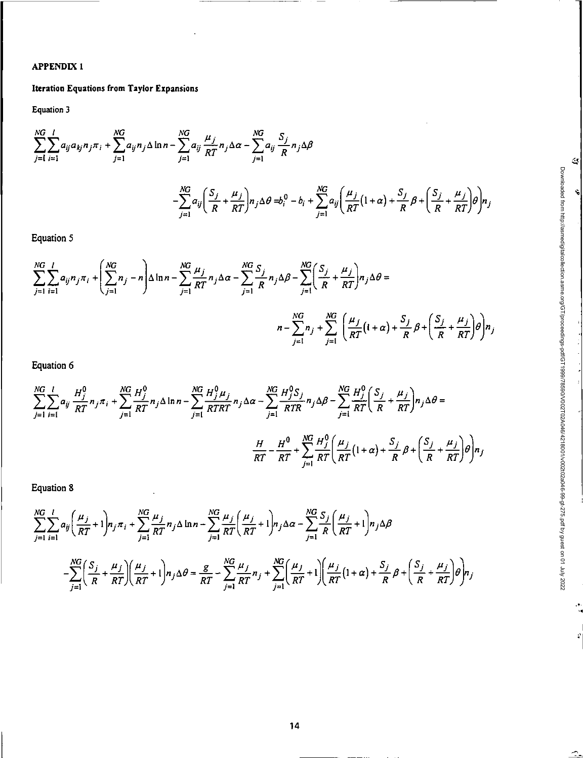# **APPENDIX 1**

# Iteration Equations from Taylor Expansions

Equation 3

$$
\sum_{j=1}^{NG} \sum_{i=1}^{I} a_{ij} a_{kj} n_j \pi_i + \sum_{j=1}^{NG} a_{ij} n_j \Delta \ln n - \sum_{j=1}^{NG} a_{ij} \frac{\mu_j}{RT} n_j \Delta \alpha - \sum_{j=1}^{NG} a_{ij} \frac{S_j}{R} n_j \Delta \beta
$$

$$
- \sum_{j=1}^{NG} a_{ij} \left( \frac{S_j}{R} + \frac{\mu_j}{RT} \right) n_j \Delta \theta = b_i^0 - b_i + \sum_{j=1}^{NG} a_{ij} \left( \frac{\mu_j}{RT} (1 + \alpha) + \frac{S_j}{R} \beta + \left( \frac{S_j}{R} + \frac{\mu_j}{RT} \right) \theta \right) n_j
$$

 $\mathcal{Q}$ 

Ń

Downloaded from http://asmedigitalcollection.asme.org/GTproceedings-pdf/GT1999/78590/V002T02A0464218001/Y002t02a046-99-gt-275.pdf by guest on 01 July 2022

à

 $\hat{\mathcal{L}}$ 

Equation 5

$$
\sum_{j=1}^{NG} \sum_{i=1}^{I} a_{ij} n_j \pi_i + \left( \sum_{j=1}^{NG} n_j - n \right) \Delta \ln n - \sum_{j=1}^{NG} \frac{\mu_j}{RT} n_j \Delta \alpha - \sum_{j=1}^{NG} \frac{S_j}{R} n_j \Delta \beta - \sum_{j=1}^{NG} \left( \frac{S_j}{R} + \frac{\mu_j}{RT} \right) n_j \Delta \theta =
$$
  

$$
n - \sum_{j=1}^{NG} n_j + \sum_{j=1}^{NG} \left( \frac{\mu_j}{RT} (1 + \alpha) + \frac{S_j}{R} \beta + \left( \frac{S_j}{R} + \frac{\mu_j}{RT} \right) \theta \right) n_j
$$

Equation 6

$$
\sum_{j=1}^{NG} \sum_{i=1}^{l} a_{ij} \frac{H_j^0}{RT} n_j \pi_i + \sum_{j=1}^{NG} \frac{H_j^0}{RT} n_j \Delta \ln n - \sum_{j=1}^{NG} \frac{H_j^0 \mu_j}{RTRT} n_j \Delta \alpha - \sum_{j=1}^{NG} \frac{H_j^0 S_j}{RTR} n_j \Delta \beta - \sum_{j=1}^{NG} \frac{H_j^0}{RT} \left( \frac{S_j}{R} + \frac{\mu_j}{RT} \right) n_j \Delta \theta =
$$
\n
$$
\frac{H}{RT} - \frac{H^0}{RT} + \sum_{j=1}^{NG} \frac{H_j^0}{RT} \left( \frac{\mu_j}{RT} \left( 1 + \alpha \right) + \frac{S_j}{R} \beta + \left( \frac{S_j}{R} + \frac{\mu_j}{RT} \right) \theta \right) n_j
$$

Equation 8

$$
\sum_{j=1}^{NG} \sum_{i=1}^{l} a_{ij} \left( \frac{\mu_j}{RT} + 1 \right) n_j \pi_i + \sum_{j=1}^{NG} \frac{\mu_j}{RT} n_j \Delta \ln n - \sum_{j=1}^{NG} \frac{\mu_j}{RT} \left( \frac{\mu_j}{RT} + 1 \right) n_j \Delta \alpha - \sum_{j=1}^{NG} \frac{S_j}{R} \left( \frac{\mu_j}{RT} + 1 \right) n_j \Delta \beta
$$

$$
- \sum_{j=1}^{NG} \left( \frac{S_j}{R} + \frac{\mu_j}{RT} \right) \left( \frac{\mu_j}{RT} + 1 \right) n_j \Delta \theta = \frac{g}{RT} - \sum_{j=1}^{NG} \frac{\mu_j}{RT} n_j + \sum_{j=1}^{NG} \left( \frac{\mu_j}{RT} + 1 \right) \left( \frac{\mu_j}{RT} \left( 1 + \alpha \right) + \frac{S_j}{R} \beta + \left( \frac{S_j}{R} + \frac{\mu_j}{RT} \right) \theta \right) n_j
$$